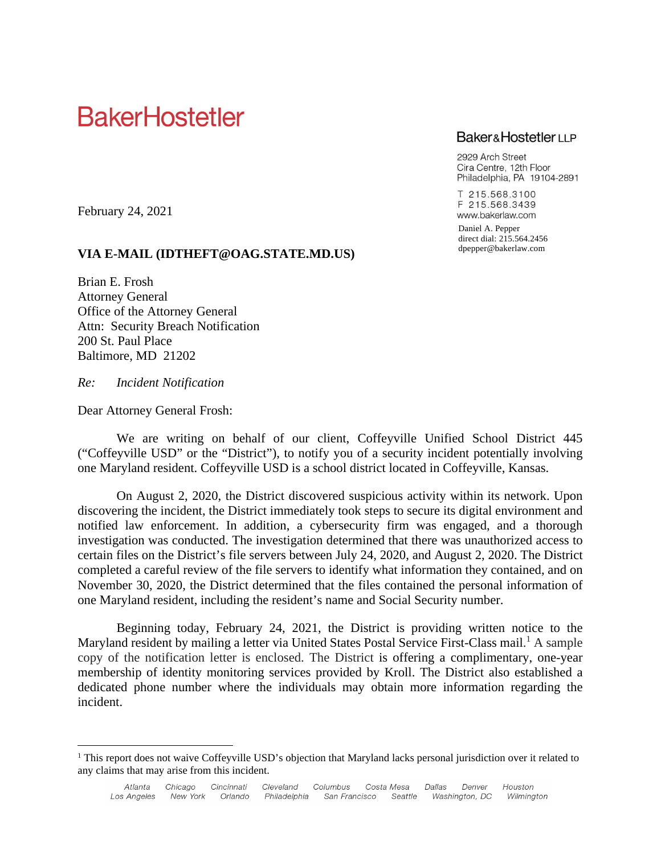# **BakerHostetler**

## **Baker&HostetlerLLP**

2929 Arch Street Cira Centre, 12th Floor Philadelphia, PA 19104-2891

T 215.568.3100 F 215.568.3439 www.bakerlaw.com

Daniel A. Pepper direct dial: 215.564.2456 dpepper@bakerlaw.com

February 24, 2021

## **VIA E-MAIL (IDTHEFT@OAG.STATE.MD.US)**

Brian E. Frosh Attorney General Office of the Attorney General Attn: Security Breach Notification 200 St. Paul Place Baltimore, MD 21202

*Re: Incident Notification*

Dear Attorney General Frosh:

We are writing on behalf of our client, Coffeyville Unified School District 445 ("Coffeyville USD" or the "District"), to notify you of a security incident potentially involving one Maryland resident. Coffeyville USD is a school district located in Coffeyville, Kansas.

On August 2, 2020, the District discovered suspicious activity within its network. Upon discovering the incident, the District immediately took steps to secure its digital environment and notified law enforcement. In addition, a cybersecurity firm was engaged, and a thorough investigation was conducted. The investigation determined that there was unauthorized access to certain files on the District's file servers between July 24, 2020, and August 2, 2020. The District completed a careful review of the file servers to identify what information they contained, and on November 30, 2020, the District determined that the files contained the personal information of one Maryland resident, including the resident's name and Social Security number.

Beginning today, February 24, 2021, the District is providing written notice to the Maryland resident by mailing a letter via United States Postal Service First-Class mail.<sup>1</sup> A sample copy of the notification letter is enclosed. The District is offering a complimentary, one-year membership of identity monitoring services provided by Kroll. The District also established a dedicated phone number where the individuals may obtain more information regarding the incident.

<sup>&</sup>lt;sup>1</sup> This report does not waive Coffeyville USD's objection that Maryland lacks personal jurisdiction over it related to any claims that may arise from this incident.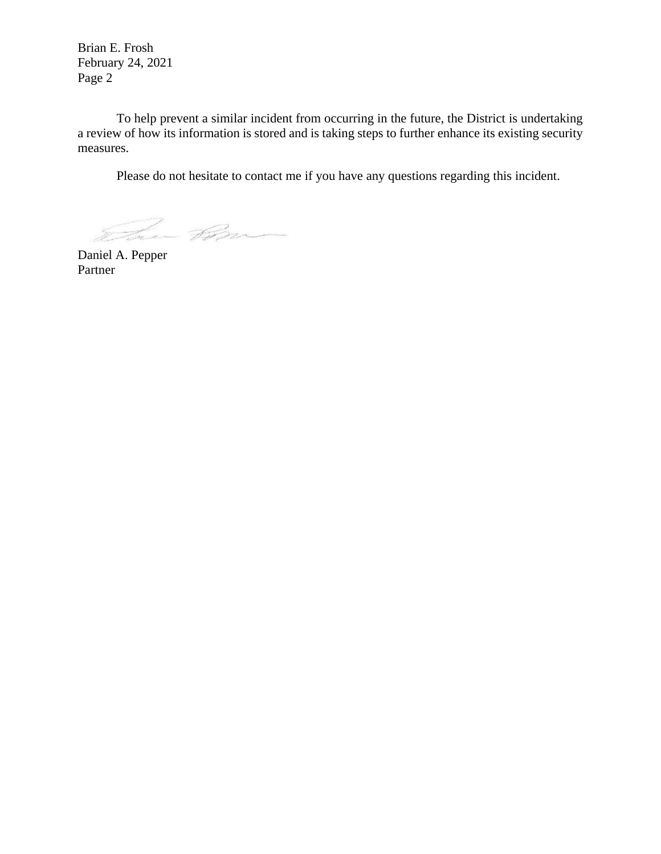Brian E. Frosh February 24, 2021 Page 2

To help prevent a similar incident from occurring in the future, the District is undertaking a review of how its information is stored and is taking steps to further enhance its existing security measures.

Please do not hesitate to contact me if you have any questions regarding this incident.

a Bran

Daniel A. Pepper Partner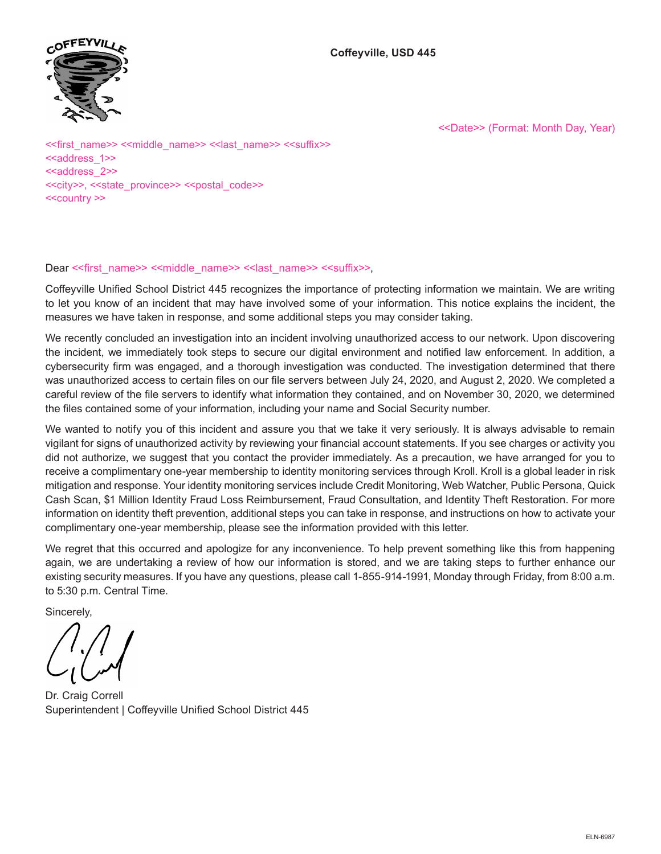



<<Date>> (Format: Month Day, Year)

<<first\_name>> <<middle\_name>> <<last\_name>> <<suffix>> <<address\_1>> <<address\_2>> <<city>>, <<state\_province>> <<postal\_code>> <<country >>

## Dear << first\_name>> <<middle\_name>> << last\_name>> << suffix>>.

Coffeyville Unified School District 445 recognizes the importance of protecting information we maintain. We are writing to let you know of an incident that may have involved some of your information. This notice explains the incident, the measures we have taken in response, and some additional steps you may consider taking.

We recently concluded an investigation into an incident involving unauthorized access to our network. Upon discovering the incident, we immediately took steps to secure our digital environment and notified law enforcement. In addition, a cybersecurity firm was engaged, and a thorough investigation was conducted. The investigation determined that there was unauthorized access to certain files on our file servers between July 24, 2020, and August 2, 2020. We completed a careful review of the file servers to identify what information they contained, and on November 30, 2020, we determined the files contained some of your information, including your name and Social Security number.

We wanted to notify you of this incident and assure you that we take it very seriously. It is always advisable to remain vigilant for signs of unauthorized activity by reviewing your financial account statements. If you see charges or activity you did not authorize, we suggest that you contact the provider immediately. As a precaution, we have arranged for you to receive a complimentary one-year membership to identity monitoring services through Kroll. Kroll is a global leader in risk mitigation and response. Your identity monitoring services include Credit Monitoring, Web Watcher, Public Persona, Quick Cash Scan, \$1 Million Identity Fraud Loss Reimbursement, Fraud Consultation, and Identity Theft Restoration. For more information on identity theft prevention, additional steps you can take in response, and instructions on how to activate your complimentary one-year membership, please see the information provided with this letter.

We regret that this occurred and apologize for any inconvenience. To help prevent something like this from happening again, we are undertaking a review of how our information is stored, and we are taking steps to further enhance our existing security measures. If you have any questions, please call 1-855-914-1991, Monday through Friday, from 8:00 a.m. to 5:30 p.m. Central Time.

Sincerely,

Dr. Craig Correll Superintendent | Coffeyville Unified School District 445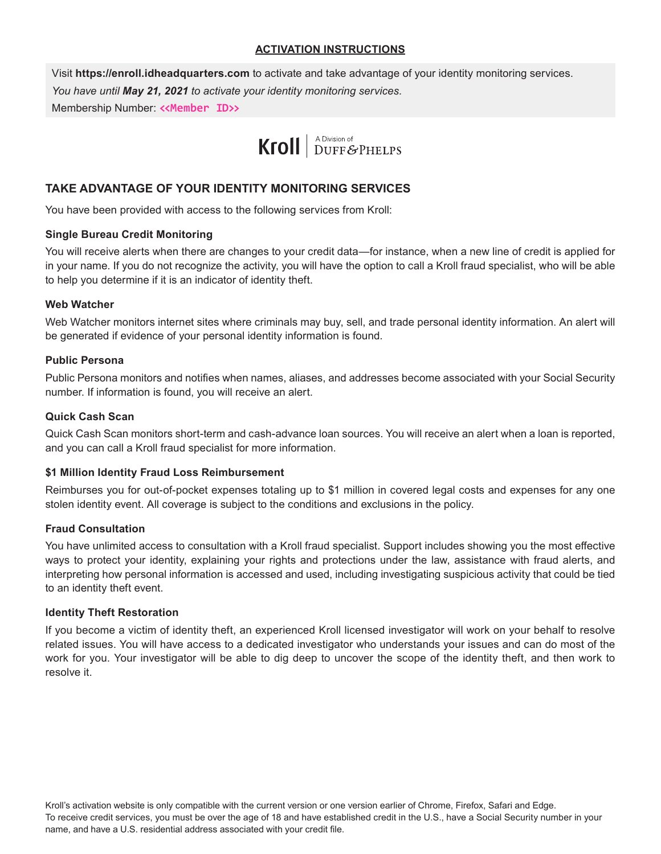### **ACTIVATION INSTRUCTIONS**

Visit **https://enroll.idheadquarters.com** to activate and take advantage of your identity monitoring services. *You have until May 21, 2021 to activate your identity monitoring services.* Membership Number: **<<Member ID>>**

# Kroll | A Division of DUFF & PHELPS

## **TAKE ADVANTAGE OF YOUR IDENTITY MONITORING SERVICES**

You have been provided with access to the following services from Kroll:

#### **Single Bureau Credit Monitoring**

You will receive alerts when there are changes to your credit data—for instance, when a new line of credit is applied for in your name. If you do not recognize the activity, you will have the option to call a Kroll fraud specialist, who will be able to help you determine if it is an indicator of identity theft.

#### **Web Watcher**

Web Watcher monitors internet sites where criminals may buy, sell, and trade personal identity information. An alert will be generated if evidence of your personal identity information is found.

#### **Public Persona**

Public Persona monitors and notifies when names, aliases, and addresses become associated with your Social Security number. If information is found, you will receive an alert.

#### **Quick Cash Scan**

Quick Cash Scan monitors short-term and cash-advance loan sources. You will receive an alert when a loan is reported, and you can call a Kroll fraud specialist for more information.

#### **\$1 Million Identity Fraud Loss Reimbursement**

Reimburses you for out-of-pocket expenses totaling up to \$1 million in covered legal costs and expenses for any one stolen identity event. All coverage is subject to the conditions and exclusions in the policy.

#### **Fraud Consultation**

You have unlimited access to consultation with a Kroll fraud specialist. Support includes showing you the most effective ways to protect your identity, explaining your rights and protections under the law, assistance with fraud alerts, and interpreting how personal information is accessed and used, including investigating suspicious activity that could be tied to an identity theft event.

#### **Identity Theft Restoration**

If you become a victim of identity theft, an experienced Kroll licensed investigator will work on your behalf to resolve related issues. You will have access to a dedicated investigator who understands your issues and can do most of the work for you. Your investigator will be able to dig deep to uncover the scope of the identity theft, and then work to resolve it.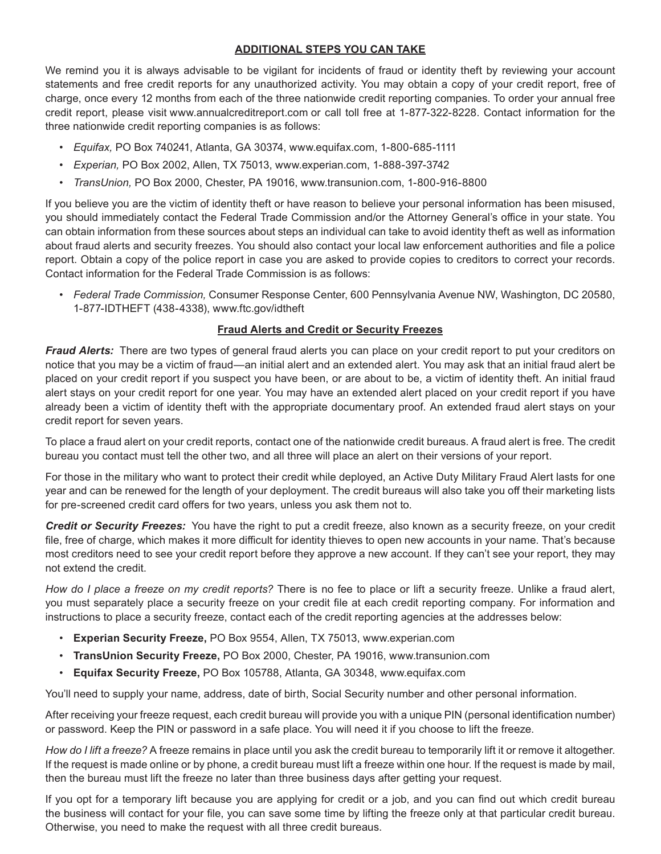## **ADDITIONAL STEPS YOU CAN TAKE**

We remind you it is always advisable to be vigilant for incidents of fraud or identity theft by reviewing your account statements and free credit reports for any unauthorized activity. You may obtain a copy of your credit report, free of charge, once every 12 months from each of the three nationwide credit reporting companies. To order your annual free credit report, please visit www.annualcreditreport.com or call toll free at 1-877-322-8228. Contact information for the three nationwide credit reporting companies is as follows:

- *Equifax,* PO Box 740241, Atlanta, GA 30374, www.equifax.com, 1-800-685-1111
- *Experian,* PO Box 2002, Allen, TX 75013, www.experian.com, 1-888-397-3742
- *TransUnion,* PO Box 2000, Chester, PA 19016, www.transunion.com, 1-800-916-8800

If you believe you are the victim of identity theft or have reason to believe your personal information has been misused, you should immediately contact the Federal Trade Commission and/or the Attorney General's office in your state. You can obtain information from these sources about steps an individual can take to avoid identity theft as well as information about fraud alerts and security freezes. You should also contact your local law enforcement authorities and file a police report. Obtain a copy of the police report in case you are asked to provide copies to creditors to correct your records. Contact information for the Federal Trade Commission is as follows:

• *Federal Trade Commission,* Consumer Response Center, 600 Pennsylvania Avenue NW, Washington, DC 20580, 1-877-IDTHEFT (438-4338), www.ftc.gov/idtheft

## **Fraud Alerts and Credit or Security Freezes**

*Fraud Alerts:*  There are two types of general fraud alerts you can place on your credit report to put your creditors on notice that you may be a victim of fraud—an initial alert and an extended alert. You may ask that an initial fraud alert be placed on your credit report if you suspect you have been, or are about to be, a victim of identity theft. An initial fraud alert stays on your credit report for one year. You may have an extended alert placed on your credit report if you have already been a victim of identity theft with the appropriate documentary proof. An extended fraud alert stays on your credit report for seven years.

To place a fraud alert on your credit reports, contact one of the nationwide credit bureaus. A fraud alert is free. The credit bureau you contact must tell the other two, and all three will place an alert on their versions of your report.

For those in the military who want to protect their credit while deployed, an Active Duty Military Fraud Alert lasts for one year and can be renewed for the length of your deployment. The credit bureaus will also take you off their marketing lists for pre-screened credit card offers for two years, unless you ask them not to.

*Credit or Security Freezes:*  You have the right to put a credit freeze, also known as a security freeze, on your credit file, free of charge, which makes it more difficult for identity thieves to open new accounts in your name. That's because most creditors need to see your credit report before they approve a new account. If they can't see your report, they may not extend the credit.

*How do I place a freeze on my credit reports?* There is no fee to place or lift a security freeze. Unlike a fraud alert, you must separately place a security freeze on your credit file at each credit reporting company. For information and instructions to place a security freeze, contact each of the credit reporting agencies at the addresses below:

- **Experian Security Freeze,** PO Box 9554, Allen, TX 75013, www.experian.com
- **TransUnion Security Freeze,** PO Box 2000, Chester, PA 19016, www.transunion.com
- **Equifax Security Freeze,** PO Box 105788, Atlanta, GA 30348, www.equifax.com

You'll need to supply your name, address, date of birth, Social Security number and other personal information.

After receiving your freeze request, each credit bureau will provide you with a unique PIN (personal identification number) or password. Keep the PIN or password in a safe place. You will need it if you choose to lift the freeze.

*How do I lift a freeze?* A freeze remains in place until you ask the credit bureau to temporarily lift it or remove it altogether. If the request is made online or by phone, a credit bureau must lift a freeze within one hour. If the request is made by mail, then the bureau must lift the freeze no later than three business days after getting your request.

If you opt for a temporary lift because you are applying for credit or a job, and you can find out which credit bureau the business will contact for your file, you can save some time by lifting the freeze only at that particular credit bureau. Otherwise, you need to make the request with all three credit bureaus.